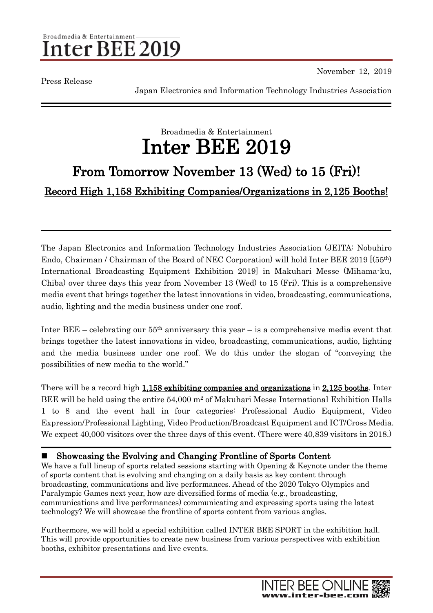### Broadmedia & Entertainment nter BEE 2019

Press Release

November 12, 2019

Japan Electronics and Information Technology Industries Association

## Broadmedia & Entertainment Inter BEE 2019

# From Tomorrow November 13 (Wed) to 15 (Fri)!

Record High 1,158 Exhibiting Companies/Organizations in 2,125 Booths!

The Japan Electronics and Information Technology Industries Association (JEITA: Nobuhiro Endo, Chairman / Chairman of the Board of NEC Corporation) will hold Inter BEE 2019 [(55th) International Broadcasting Equipment Exhibition 2019] in Makuhari Messe (Mihama-ku, Chiba) over three days this year from November 13 (Wed) to 15 (Fri). This is a comprehensive media event that brings together the latest innovations in video, broadcasting, communications, audio, lighting and the media business under one roof.

Inter BEE – celebrating our  $55<sup>th</sup>$  anniversary this year – is a comprehensive media event that brings together the latest innovations in video, broadcasting, communications, audio, lighting and the media business under one roof. We do this under the slogan of "conveying the possibilities of new media to the world."

There will be a record high 1,158 exhibiting companies and organizations in 2,125 booths. Inter BEE will be held using the entire 54,000 m<sup>2</sup> of Makuhari Messe International Exhibition Halls 1 to 8 and the event hall in four categories: Professional Audio Equipment, Video Expression/Professional Lighting, Video Production/Broadcast Equipment and ICT/Cross Media. We expect  $40,000$  visitors over the three days of this event. (There were  $40,839$  visitors in 2018.)

#### ■ Showcasing the Evolving and Changing Frontline of Sports Content

We have a full lineup of sports related sessions starting with Opening & Keynote under the theme of sports content that is evolving and changing on a daily basis as key content through broadcasting, communications and live performances. Ahead of the 2020 Tokyo Olympics and Paralympic Games next year, how are diversified forms of media (e.g., broadcasting, communications and live performances) communicating and expressing sports using the latest technology? We will showcase the frontline of sports content from various angles.

Furthermore, we will hold a special exhibition called INTER BEE SPORT in the exhibition hall. This will provide opportunities to create new business from various perspectives with exhibition booths, exhibitor presentations and live events.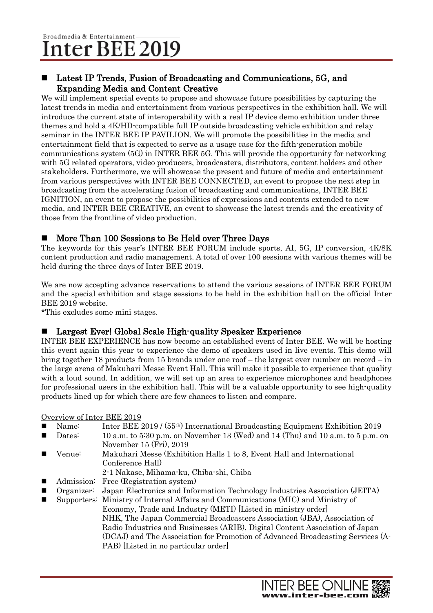#### Latest IP Trends, Fusion of Broadcasting and Communications, 5G, and Expanding Media and Content Creative

We will implement special events to propose and showcase future possibilities by capturing the latest trends in media and entertainment from various perspectives in the exhibition hall. We will introduce the current state of interoperability with a real IP device demo exhibition under three themes and hold a 4K/HD-compatible full IP outside broadcasting vehicle exhibition and relay seminar in the INTER BEE IP PAVILION. We will promote the possibilities in the media and entertainment field that is expected to serve as a usage case for the fifth-generation mobile communications system (5G) in INTER BEE 5G. This will provide the opportunity for networking with 5G related operators, video producers, broadcasters, distributors, content holders and other stakeholders. Furthermore, we will showcase the present and future of media and entertainment from various perspectives with INTER BEE CONNECTED, an event to propose the next step in broadcasting from the accelerating fusion of broadcasting and communications, INTER BEE IGNITION, an event to propose the possibilities of expressions and contents extended to new media, and INTER BEE CREATIVE, an event to showcase the latest trends and the creativity of those from the frontline of video production.

#### ■ More Than 100 Sessions to Be Held over Three Days

The keywords for this year's INTER BEE FORUM include sports, AI, 5G, IP conversion, 4K/8K content production and radio management. A total of over 100 sessions with various themes will be held during the three days of Inter BEE 2019.

We are now accepting advance reservations to attend the various sessions of INTER BEE FORUM and the special exhibition and stage sessions to be held in the exhibition hall on the official Inter BEE 2019 website.

\*This excludes some mini stages.

#### ■ Largest Ever! Global Scale High-quality Speaker Experience

INTER BEE EXPERIENCE has now become an established event of Inter BEE. We will be hosting this event again this year to experience the demo of speakers used in live events. This demo will bring together 18 products from 15 brands under one roof – the largest ever number on record – in the large arena of Makuhari Messe Event Hall. This will make it possible to experience that quality with a loud sound. In addition, we will set up an area to experience microphones and headphones for professional users in the exhibition hall. This will be a valuable opportunity to see high-quality products lined up for which there are few chances to listen and compare.

#### Overview of Inter BEE 2019

- Name: Inter BEE 2019 / (55th) International Broadcasting Equipment Exhibition 2019
- Dates:  $10$  a.m. to  $5:30$  p.m. on November 13 (Wed) and 14 (Thu) and 10 a.m. to  $5$  p.m. on November 15 (Fri), 2019
- Venue: Makuhari Messe (Exhibition Halls 1 to 8, Event Hall and International Conference Hall)
- 2-1 Nakase, Mihama-ku, Chiba-shi, Chiba
- Admission: Free (Registration system)
- Organizer: Japan Electronics and Information Technology Industries Association (JEITA)
- Supporters: Ministry of Internal Affairs and Communications (MIC) and Ministry of Economy, Trade and Industry (METI) [Listed in ministry order] NHK, The Japan Commercial Broadcasters Association (JBA), Association of Radio Industries and Businesses (ARIB), Digital Content Association of Japan (DCAJ) and The Association for Promotion of Advanced Broadcasting Services (A-PAB) [Listed in no particular order]